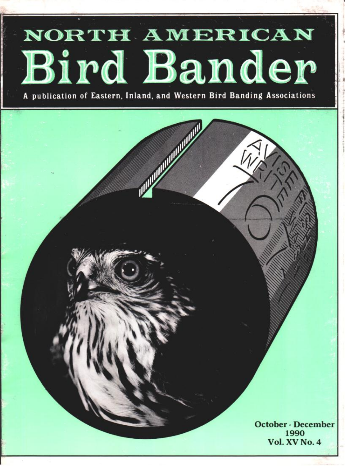# **- NORTH• AMERICAN Bird Bander**

**A** publication of Eastern, Inland, and Western Bird Banding Associations

**October- December 1990 Vol. XV No. 4** 

**III. III** III